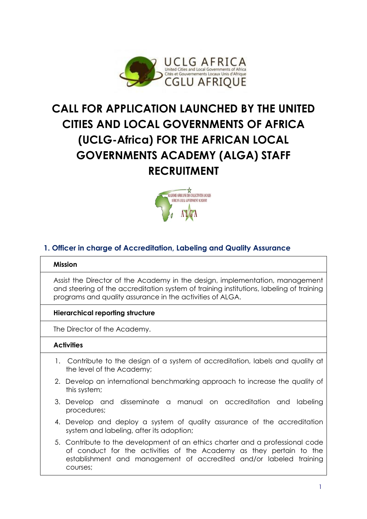

# **CALL FOR APPLICATION LAUNCHED BY THE UNITED CITIES AND LOCAL GOVERNMENTS OF AFRICA (UCLG-Africa) FOR THE AFRICAN LOCAL GOVERNMENTS ACADEMY (ALGA) STAFF RECRUITMENT**



## **1. Officer in charge of Accreditation, Labeling and Quality Assurance**

#### **Mission**

Assist the Director of the Academy in the design, implementation, management and steering of the accreditation system of training institutions, labeling of training programs and quality assurance in the activities of ALGA.

### **Hierarchical reporting structure**

The Director of the Academy.

### **Activities**

- 1. Contribute to the design of a system of accreditation, labels and quality at the level of the Academy;
- 2. Develop an international benchmarking approach to increase the quality of this system;
- 3. Develop and disseminate a manual on accreditation and labeling procedures;
- 4. Develop and deploy a system of quality assurance of the accreditation system and labeling, after its adoption;
- 5. Contribute to the development of an ethics charter and a professional code of conduct for the activities of the Academy as they pertain to the establishment and management of accredited and/or labeled training courses;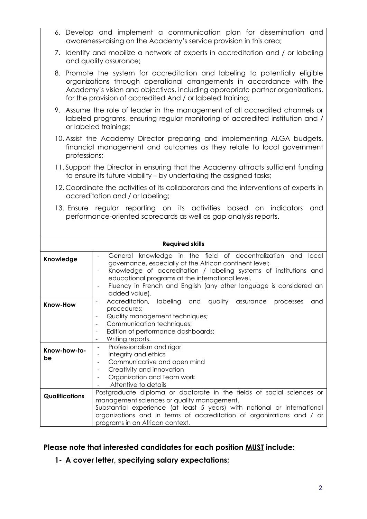|                                                                                                                                               | 6. Develop and implement a communication plan for dissemination and<br>awareness-raising on the Academy's service provision in this area;                                                                                                                                                                                                 |
|-----------------------------------------------------------------------------------------------------------------------------------------------|-------------------------------------------------------------------------------------------------------------------------------------------------------------------------------------------------------------------------------------------------------------------------------------------------------------------------------------------|
|                                                                                                                                               | 7. Identify and mobilize a network of experts in accreditation and / or labeling<br>and quality assurance;                                                                                                                                                                                                                                |
|                                                                                                                                               | 8. Promote the system for accreditation and labeling to potentially eligible<br>organizations through operational arrangements in accordance with the<br>Academy's vision and objectives, including appropriate partner organizations,<br>for the provision of accredited And / or labeled training;                                      |
|                                                                                                                                               | 9. Assume the role of leader in the management of all accredited channels or<br>labeled programs, ensuring regular monitoring of accredited institution and /<br>or labeled trainings;                                                                                                                                                    |
| professions;                                                                                                                                  | 10. Assist the Academy Director preparing and implementing ALGA budgets,<br>financial management and outcomes as they relate to local government                                                                                                                                                                                          |
|                                                                                                                                               | 11. Support the Director in ensuring that the Academy attracts sufficient funding<br>to ensure its future viability - by undertaking the assigned tasks;                                                                                                                                                                                  |
|                                                                                                                                               | 12. Coordinate the activities of its collaborators and the interventions of experts in<br>accreditation and / or labeling;                                                                                                                                                                                                                |
| 13. Ensure regular reporting on its activities based on indicators<br>and<br>performance-oriented scorecards as well as gap analysis reports. |                                                                                                                                                                                                                                                                                                                                           |
|                                                                                                                                               |                                                                                                                                                                                                                                                                                                                                           |
|                                                                                                                                               | <b>Required skills</b>                                                                                                                                                                                                                                                                                                                    |
| Knowledge                                                                                                                                     | General knowledge in the field of decentralization and<br>local<br>governance, especially at the African continent level;<br>Knowledge of accreditation / labeling systems of institutions and<br>educational programs at the international level.<br>Fluency in French and English (any other language is considered an<br>added value). |
| Know-How                                                                                                                                      | labeling<br>quality<br>Accreditation,<br>and<br>assurance<br>processes<br>and<br>procedures;<br>Quality management techniques;<br>$\overline{\phantom{a}}$<br>Communication techniques;<br>Edition of performance dashboards;                                                                                                             |
| Know-how-to-<br>be                                                                                                                            | Writing reports.<br>Professionalism and rigor<br>Integrity and ethics<br>$\overline{\phantom{m}}$<br>Communicative and open mind<br>Creativity and innovation<br>Organization and Team work<br>Attentive to details                                                                                                                       |

## **Please note that interested candidates for each position MUST include:**

**1- A cover letter, specifying salary expectations;**